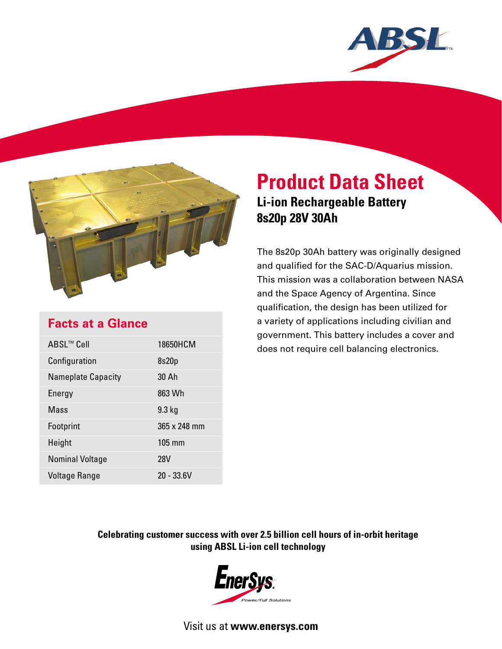



# **Product Data Sheet Li-ion Rechargeable Battery 8s20p 28V 30Ah**

The 8s20p 30Ah battery was originally designed and qualified for the SAC-D/Aquarius mission. This mission was a collaboration between NASA and the Space Agency of Argentina. Since qualification, the design has been utilized for a variety of applications including civilian and government. This battery includes a cover and does not require cell balancing electronics.

## **Facts at a Glance**

| ABSL™ Cell                | 18650HCM         |
|---------------------------|------------------|
| Configuration             | 8s20p            |
| <b>Nameplate Capacity</b> | 30 Ah            |
| Energy                    | 863 Wh           |
| Mass                      | $9.3$ kg         |
| Footprint                 | 365 x 248 mm     |
| Height                    | $105 \text{ mm}$ |
| <b>Nominal Voltage</b>    | 28V              |
| <b>Voltage Range</b>      | 20 - 33.6V       |

### **Celebrating customer success with over 2.5 billion cell hours of in-orbit heritage using ABSL Li-ion cell technology**



Visit us at **www.enersys.com**